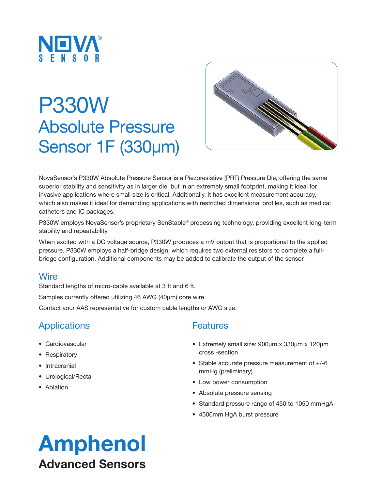

# P330W Absolute Pressure Sensor 1F (330µm)



NovaSensor's P330W Absolute Pressure Sensor is a Piezoresistive (PRT) Pressure Die, offering the same superior stability and sensitivity as in larger die, but in an extremely small footprint, making it ideal for invasive applications where small size is critical. Additionally, it has excellent measurement accuracy, which also makes it ideal for demanding applications with restricted dimensional profiles, such as medical catheters and IC packages.

P330W employs NovaSensor's proprietary SenStable® processing technology, providing excellent long-term stability and repeatability.

When excited with a DC voltage source, P330W produces a mV output that is proportional to the applied pressure. P330W employs a half-bridge design, which requires two external resistors to complete a fullbridge configuration. Additional components may be added to calibrate the output of the sensor.

### Wire

Standard lengths of micro-cable available at 3 ft and 6 ft.

Samples currently offered utilizing 46 AWG (40µm) core wire.

Contact your AAS representative for custom cable lengths or AWG size.

## **Applications**

- Cardiovascular
- Respiratory
- Intracranial
- Urological/Rectal
- Ablation

## **Features**

- Extremely small size: 900µm x 330µm x 120µm cross -section
- Stable accurate pressure measurement of +/-6 mmHg (preliminary)
- Low power consumption
- Absolute pressure sensing
- Standard pressure range of 450 to 1050 mmHgA
- 4500mm HgA burst pressure

## Amphenol Advanced Sensors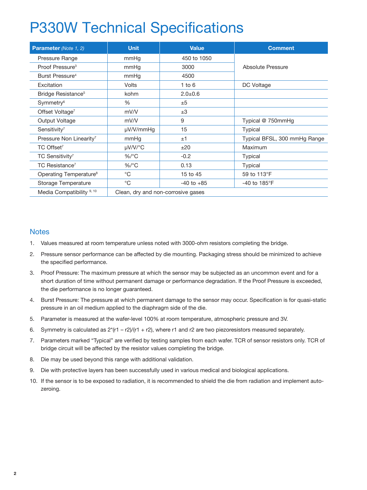## P330W Technical Specifications

| <b>Parameter</b> (Note 1, 2)         | <b>Unit</b>                        | <b>Value</b>   | <b>Comment</b>                  |
|--------------------------------------|------------------------------------|----------------|---------------------------------|
| Pressure Range                       | mmHg                               | 450 to 1050    |                                 |
| Proof Pressure <sup>3</sup>          | mmHg                               | 3000           | Absolute Pressure               |
| Burst Pressure <sup>4</sup>          | mmHg                               | 4500           |                                 |
| Excitation                           | <b>Volts</b>                       | $1$ to $6$     | DC Voltage                      |
| Bridge Resistance <sup>5</sup>       | kohm                               | $2.0 + 0.6$    |                                 |
| Symmetry <sup>6</sup>                | $\%$                               | ±5             |                                 |
| Offset Voltage <sup>7</sup>          | mV/V                               | ±3             |                                 |
| Output Voltage                       | mV/V                               | 9              | Typical @ 750mmHq               |
| Sensitivity <sup>7</sup>             | µV/V/mmHg                          | 15             | Typical                         |
| Pressure Non Linearity <sup>7</sup>  | mmHq                               | ±1             | Typical BFSL, 300 mmHg Range    |
| TC Offset <sup>7</sup>               | $\mu$ V/V/°C                       | ±20            | Maximum                         |
| TC Sensitivity <sup>7</sup>          | $\%$ /°C                           | $-0.2$         | Typical                         |
| TC Resistance <sup>7</sup>           | $\%$ /°C                           | 0.13           | Typical                         |
| Operating Temperature <sup>8</sup>   | $^{\circ}C$                        | 15 to 45       | 59 to 113°F                     |
| Storage Temperature                  | $^{\circ}C$                        | $-40$ to $+85$ | -40 to 185 $\mathrm{^{\circ}F}$ |
| Media Compatibility <sup>9, 10</sup> | Clean, dry and non-corrosive gases |                |                                 |

#### **Notes**

- 1. Values measured at room temperature unless noted with 3000-ohm resistors completing the bridge.
- 2. Pressure sensor performance can be affected by die mounting. Packaging stress should be minimized to achieve the specified performance.
- 3. Proof Pressure: The maximum pressure at which the sensor may be subjected as an uncommon event and for a short duration of time without permanent damage or performance degradation. If the Proof Pressure is exceeded, the die performance is no longer guaranteed.
- 4. Burst Pressure: The pressure at which permanent damage to the sensor may occur. Specification is for quasi-static pressure in an oil medium applied to the diaphragm side of the die.
- 5. Parameter is measured at the wafer-level 100% at room temperature, atmospheric pressure and 3V.
- 6. Symmetry is calculated as  $2^*(r1 r2)/(r1 + r2)$ , where r1 and r2 are two piezoresistors measured separately.
- 7. Parameters marked "Typical" are verified by testing samples from each wafer. TCR of sensor resistors only. TCR of bridge circuit will be affected by the resistor values completing the bridge.
- 8. Die may be used beyond this range with additional validation.
- 9. Die with protective layers has been successfully used in various medical and biological applications.
- 10. If the sensor is to be exposed to radiation, it is recommended to shield the die from radiation and implement autozeroing.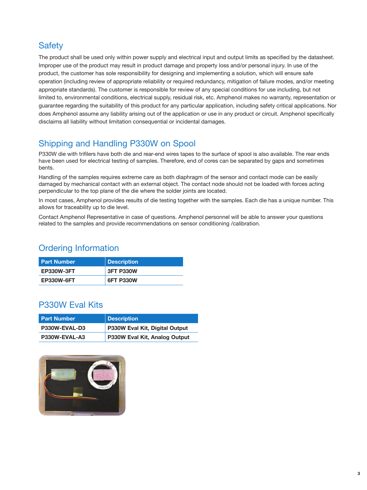## **Safety**

The product shall be used only within power supply and electrical input and output limits as specified by the datasheet. Improper use of the product may result in product damage and property loss and/or personal injury. In use of the product, the customer has sole responsibility for designing and implementing a solution, which will ensure safe operation (including review of appropriate reliability or required redundancy, mitigation of failure modes, and/or meeting appropriate standards). The customer is responsible for review of any special conditions for use including, but not limited to, environmental conditions, electrical supply, residual risk, etc. Amphenol makes no warranty, representation or guarantee regarding the suitability of this product for any particular application, including safety critical applications. Nor does Amphenol assume any liability arising out of the application or use in any product or circuit. Amphenol specifically disclaims all liability without limitation consequential or incidental damages.

## Shipping and Handling P330W on Spool

P330W die with trifilers have both die and rear-end wires tapes to the surface of spool is also available. The rear ends have been used for electrical testing of samples. Therefore, end of cores can be separated by gaps and sometimes bents.

Handling of the samples requires extreme care as both diaphragm of the sensor and contact mode can be easily damaged by mechanical contact with an external object. The contact node should not be loaded with forces acting perpendicular to the top plane of the die where the solder joints are located.

In most cases, Amphenol provides results of die testing together with the samples. Each die has a unique number. This allows for traceability up to die level.

Contact Amphenol Representative in case of questions. Amphenol personnel will be able to answer your questions related to the samples and provide recommendations on sensor conditioning /calibration.

## Ordering Information

| <b>Part Number</b> | ∣ Description    |
|--------------------|------------------|
| <b>EP330W-3FT</b>  | <b>3FT P330W</b> |
| <b>EP330W-6FT</b>  | <b>6FT P330W</b> |

## P330W Eval Kits

| <b>Part Number</b> | Description                    |
|--------------------|--------------------------------|
| P330W-EVAL-D3      | P330W Eval Kit, Digital Output |
| P330W-EVAL-A3      | P330W Eval Kit, Analog Output  |